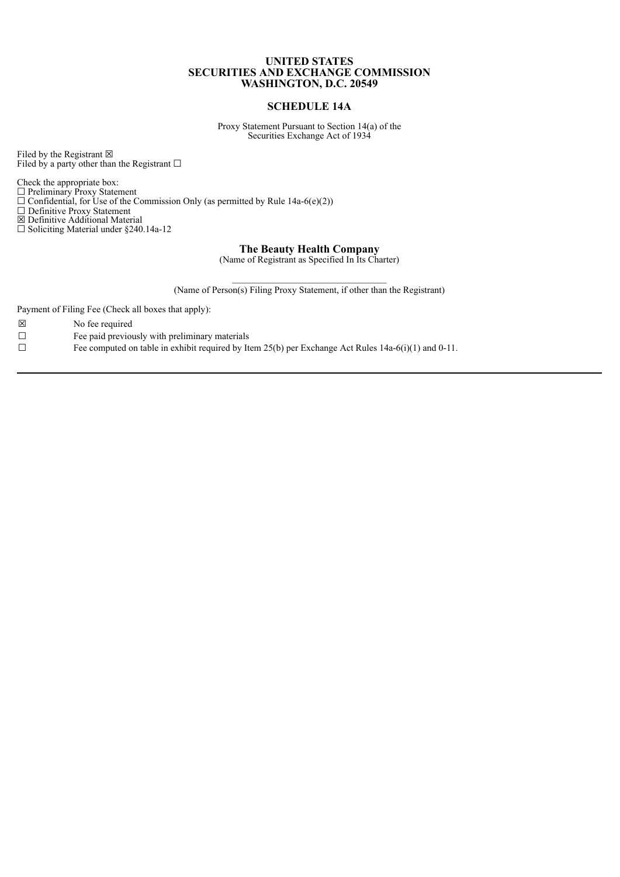## **UNITED STATES SECURITIES AND EXCHANGE COMMISSION WASHINGTON, D.C. 20549**

## **SCHEDULE 14A**

Proxy Statement Pursuant to Section 14(a) of the Securities Exchange Act of 1934

Filed by the Registrant  $\boxtimes$ Filed by a party other than the Registrant  $\square$ 

Check the appropriate box: ☐ Preliminary Proxy Statement

 $\Box$  Confidential, for Use of the Commission Only (as permitted by Rule 14a-6(e)(2))

☐ Definitive Proxy Statement

☒ Definitive Additional Material

☐ Soliciting Material under §240.14a-12

**The Beauty Health Company**

(Name of Registrant as Specified In Its Charter)

 $\mathcal{L}_\text{max}$ (Name of Person(s) Filing Proxy Statement, if other than the Registrant)

Payment of Filing Fee (Check all boxes that apply):

- ☒ No fee required
- $\Box$  Fee paid previously with preliminary materials

 $\Box$  Fee computed on table in exhibit required by Item 25(b) per Exchange Act Rules 14a-6(i)(1) and 0-11.